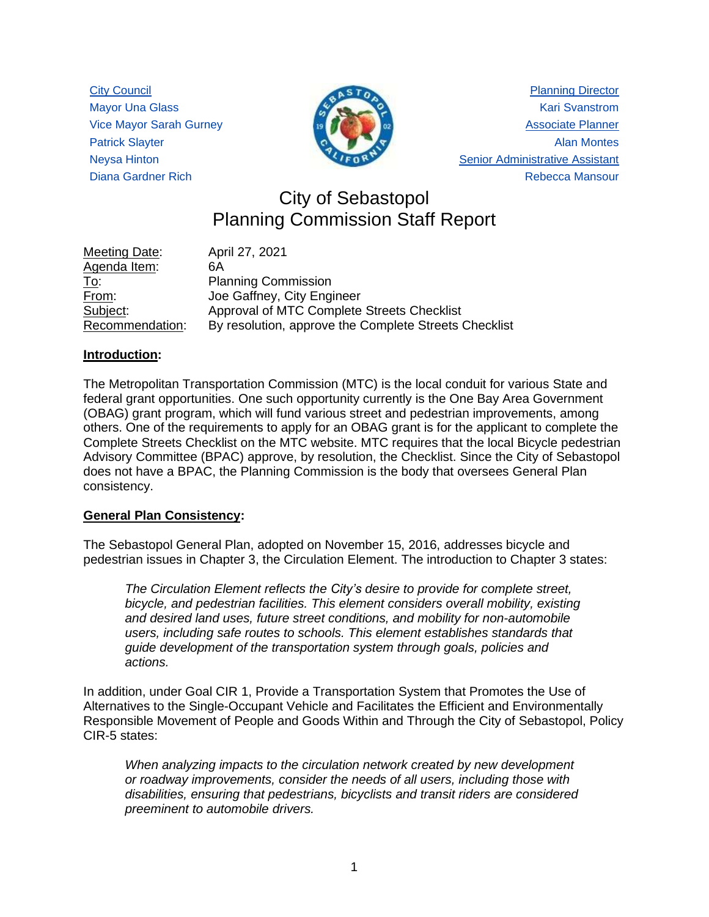City Council Mayor Una Glass Vice Mayor Sarah Gurney Patrick Slayter Neysa Hinton Diana Gardner Rich



Planning Director Kari Svanstrom Associate Planner Alan Montes Senior Administrative Assistant Rebecca Mansour

# City of Sebastopol Planning Commission Staff Report

| Meeting Date:   | April 27, 2021                                        |
|-----------------|-------------------------------------------------------|
| Agenda Item:    | 6A                                                    |
| <u>To:</u>      | <b>Planning Commission</b>                            |
| From:           | Joe Gaffney, City Engineer                            |
| Subject:        | Approval of MTC Complete Streets Checklist            |
| Recommendation: | By resolution, approve the Complete Streets Checklist |

#### **Introduction:**

The Metropolitan Transportation Commission (MTC) is the local conduit for various State and federal grant opportunities. One such opportunity currently is the One Bay Area Government (OBAG) grant program, which will fund various street and pedestrian improvements, among others. One of the requirements to apply for an OBAG grant is for the applicant to complete the Complete Streets Checklist on the MTC website. MTC requires that the local Bicycle pedestrian Advisory Committee (BPAC) approve, by resolution, the Checklist. Since the City of Sebastopol does not have a BPAC, the Planning Commission is the body that oversees General Plan consistency.

#### **General Plan Consistency:**

The Sebastopol General Plan, adopted on November 15, 2016, addresses bicycle and pedestrian issues in Chapter 3, the Circulation Element. The introduction to Chapter 3 states:

*The Circulation Element reflects the City's desire to provide for complete street, bicycle, and pedestrian facilities. This element considers overall mobility, existing and desired land uses, future street conditions, and mobility for non-automobile users, including safe routes to schools. This element establishes standards that guide development of the transportation system through goals, policies and actions.*

In addition, under Goal CIR 1, Provide a Transportation System that Promotes the Use of Alternatives to the Single-Occupant Vehicle and Facilitates the Efficient and Environmentally Responsible Movement of People and Goods Within and Through the City of Sebastopol, Policy CIR-5 states:

*When analyzing impacts to the circulation network created by new development or roadway improvements, consider the needs of all users, including those with disabilities, ensuring that pedestrians, bicyclists and transit riders are considered preeminent to automobile drivers.*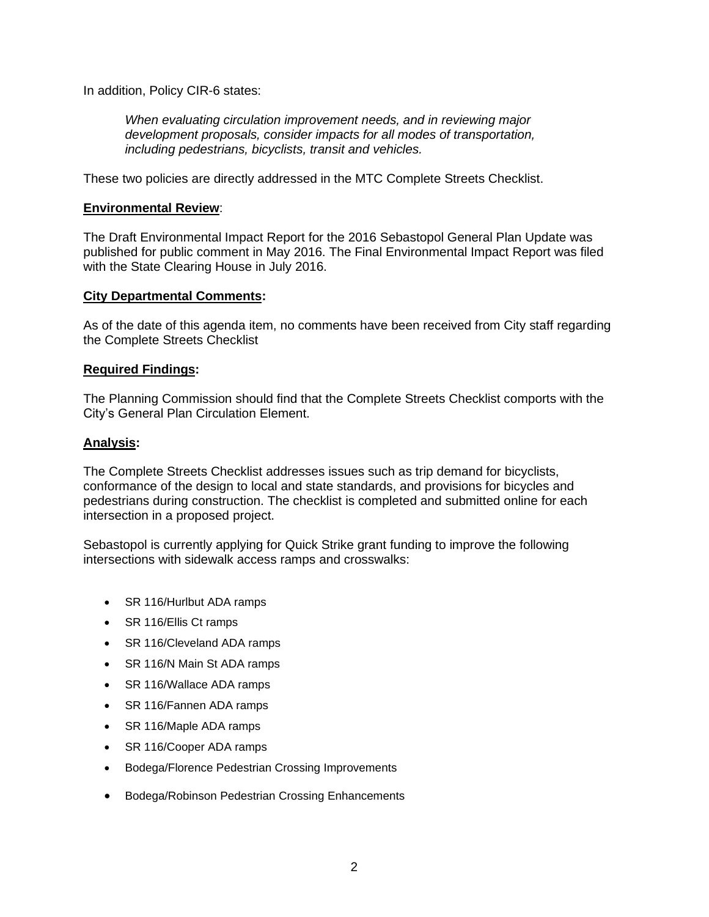In addition, Policy CIR-6 states:

*When evaluating circulation improvement needs, and in reviewing major development proposals, consider impacts for all modes of transportation, including pedestrians, bicyclists, transit and vehicles.*

These two policies are directly addressed in the MTC Complete Streets Checklist.

#### **Environmental Review**:

The Draft Environmental Impact Report for the 2016 Sebastopol General Plan Update was published for public comment in May 2016. The Final Environmental Impact Report was filed with the State Clearing House in July 2016.

#### **City Departmental Comments:**

As of the date of this agenda item, no comments have been received from City staff regarding the Complete Streets Checklist

#### **Required Findings:**

The Planning Commission should find that the Complete Streets Checklist comports with the City's General Plan Circulation Element.

#### **Analysis:**

The Complete Streets Checklist addresses issues such as trip demand for bicyclists, conformance of the design to local and state standards, and provisions for bicycles and pedestrians during construction. The checklist is completed and submitted online for each intersection in a proposed project.

Sebastopol is currently applying for Quick Strike grant funding to improve the following intersections with sidewalk access ramps and crosswalks:

- SR 116/Hurlbut ADA ramps
- SR 116/Ellis Ct ramps
- [SR 116/Cleveland ADA ramps](https://completestreets.mtc.ca.gov/checklists/1332)
- SR 116/N Main St ADA ramps
- SR 116/Wallace ADA ramps
- SR 116/Fannen ADA ramps
- SR 116/Maple ADA ramps
- SR 116/Cooper ADA ramps
- Bodega/Florence Pedestrian Crossing Improvements
- Bodega/Robinson Pedestrian Crossing Enhancements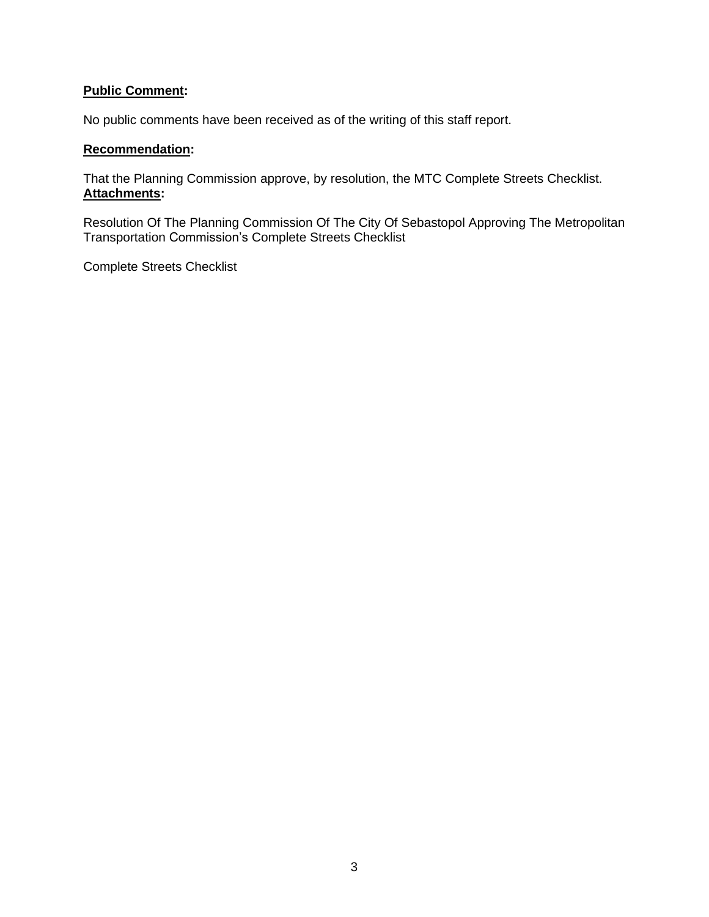#### **Public Comment:**

No public comments have been received as of the writing of this staff report.

## **Recommendation:**

That the Planning Commission approve, by resolution, the MTC Complete Streets Checklist. **Attachments:**

Resolution Of The Planning Commission Of The City Of Sebastopol Approving The Metropolitan Transportation Commission's Complete Streets Checklist

Complete Streets Checklist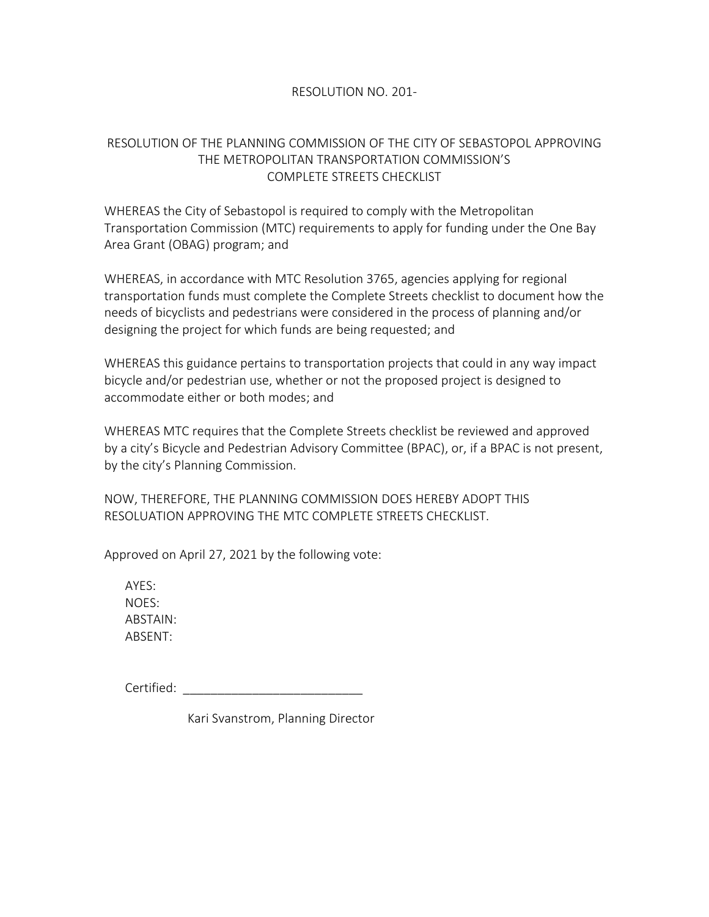## RESOLUTION NO. 201-

## RESOLUTION OF THE PLANNING COMMISSION OF THE CITY OF SEBASTOPOL APPROVING THE METROPOLITAN TRANSPORTATION COMMISSION'S COMPLETE STREETS CHECKLIST

WHEREAS the City of Sebastopol is required to comply with the Metropolitan Transportation Commission (MTC) requirements to apply for funding under the One Bay Area Grant (OBAG) program; and

WHEREAS, in accordance with MTC Resolution 3765, agencies applying for regional transportation funds must complete the Complete Streets checklist to document how the needs of bicyclists and pedestrians were considered in the process of planning and/or designing the project for which funds are being requested; and

WHEREAS this guidance pertains to transportation projects that could in any way impact bicycle and/or pedestrian use, whether or not the proposed project is designed to accommodate either or both modes; and

WHEREAS MTC requires that the Complete Streets checklist be reviewed and approved by a city's Bicycle and Pedestrian Advisory Committee (BPAC), or, if a BPAC is not present, by the city's Planning Commission.

NOW, THEREFORE, THE PLANNING COMMISSION DOES HEREBY ADOPT THIS RESOLUATION APPROVING THE MTC COMPLETE STREETS CHECKLIST.

Approved on April 27, 2021 by the following vote:

AYES: NOES: ABSTAIN: ABSENT:

Certified:  $\blacksquare$ 

Kari Svanstrom, Planning Director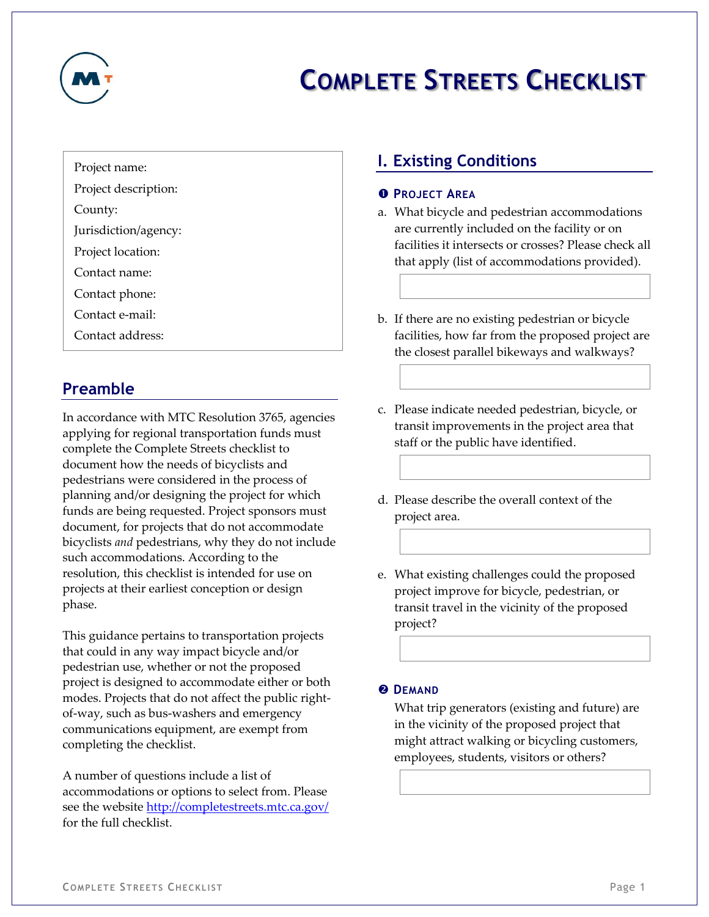

# **COMPLETE STREETS CHECKLIST**

Project name:

Project description:

County:

Jurisdiction/agency:

Project location:

Contact name:

Contact phone:

Contact e-mail:

Contact address:

# **Preamble**

In accordance with MTC Resolution 3765, agencies applying for regional transportation funds must complete the Complete Streets checklist to document how the needs of bicyclists and pedestrians were considered in the process of planning and/or designing the project for which funds are being requested. Project sponsors must document, for projects that do not accommodate bicyclists *and* pedestrians, why they do not include such accommodations. According to the resolution, this checklist is intended for use on projects at their earliest conception or design phase.

This guidance pertains to transportation projects that could in any way impact bicycle and/or pedestrian use, whether or not the proposed project is designed to accommodate either or both modes. Projects that do not affect the public rightof-way, such as bus-washers and emergency communications equipment, are exempt from completing the checklist.

A number of questions include a list of accommodations or options to select from. Please see the website <http://completestreets.mtc.ca.gov/> for the full checklist.

# **I. Existing Conditions**

#### **PROJECT AREA**

- a. What bicycle and pedestrian accommodations are currently included on the facility or on facilities it intersects or crosses? Please check all that apply (list of accommodations provided).
- b. If there are no existing pedestrian or bicycle facilities, how far from the proposed project are the closest parallel bikeways and walkways?
- c. Please indicate needed pedestrian, bicycle, or transit improvements in the project area that staff or the public have identified.
- d. Please describe the overall context of the project area.
- e. What existing challenges could the proposed project improve for bicycle, pedestrian, or transit travel in the vicinity of the proposed project?

#### **<sup><b>@**</sup>DEMAND

What trip generators (existing and future) are in the vicinity of the proposed project that might attract walking or bicycling customers, employees, students, visitors or others?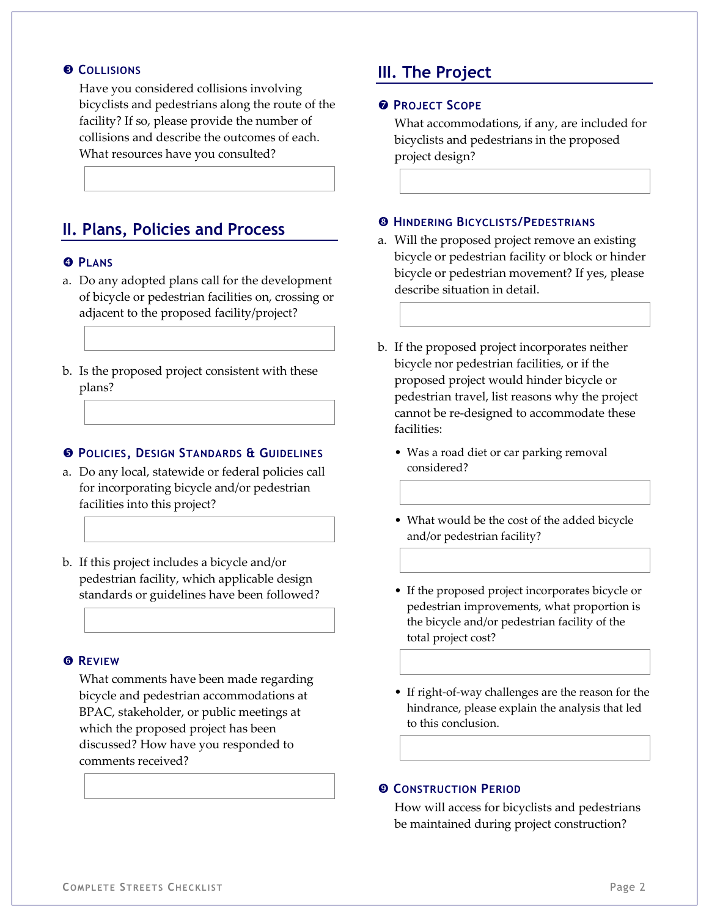#### **COLLISIONS**

Have you considered collisions involving bicyclists and pedestrians along the route of the facility? If so, please provide the number of collisions and describe the outcomes of each. What resources have you consulted?

## **II. Plans, Policies and Process**

#### *<u><b>***PLANS**</u>

- a. Do any adopted plans call for the development of bicycle or pedestrian facilities on, crossing or adjacent to the proposed facility/project?
- b. Is the proposed project consistent with these plans?

#### **POLICIES, DESIGN STANDARDS & GUIDELINES**

- a. Do any local, statewide or federal policies call for incorporating bicycle and/or pedestrian facilities into this project?
- b. If this project includes a bicycle and/or pedestrian facility, which applicable design standards or guidelines have been followed?

#### **REVIEW**

What comments have been made regarding bicycle and pedestrian accommodations at BPAC, stakeholder, or public meetings at which the proposed project has been discussed? How have you responded to comments received?

## **III. The Project**

#### **PROJECT SCOPE**

What accommodations, if any, are included for bicyclists and pedestrians in the proposed project design?

#### **HINDERING BICYCLISTS/PEDESTRIANS**

- a. Will the proposed project remove an existing bicycle or pedestrian facility or block or hinder bicycle or pedestrian movement? If yes, please describe situation in detail.
- b. If the proposed project incorporates neither bicycle nor pedestrian facilities, or if the proposed project would hinder bicycle or pedestrian travel, list reasons why the project cannot be re-designed to accommodate these facilities:
	- Was a road diet or car parking removal considered?
	- What would be the cost of the added bicycle and/or pedestrian facility?
	- If the proposed project incorporates bicycle or pedestrian improvements, what proportion is the bicycle and/or pedestrian facility of the total project cost?
	- If right-of-way challenges are the reason for the hindrance, please explain the analysis that led to this conclusion.

#### **CONSTRUCTION PERIOD**

How will access for bicyclists and pedestrians be maintained during project construction?